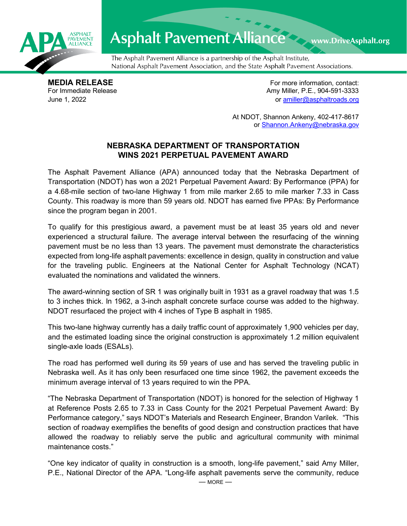

## **Asphalt Pavement Alliance** Www.DriveAsphalt.org

The Asphalt Pavement Alliance is a partnership of the Asphalt Institute, National Asphalt Pavement Association, and the State Asphalt Pavement Associations.

**MEDIA RELEASE**<br>
For Immediate Release **For more information, contact:**<br>
For Immediate Release **For the Structure of Amy Miller, P.E., 904-591-3333** Amy Miller, P.E., 904-591-3333 June 1, 2022 or [amiller@asphaltroads.org](mailto:amiller@asphaltroads.org)

> At NDOT, Shannon Ankeny, 402-417-8617 or [Shannon.Ankeny@nebraska.gov](mailto:Shannon.Ankeny@nebraska.gov)

## **NEBRASKA DEPARTMENT OF TRANSPORTATION WINS 2021 PERPETUAL PAVEMENT AWARD**

The Asphalt Pavement Alliance (APA) announced today that the Nebraska Department of Transportation (NDOT) has won a 2021 Perpetual Pavement Award: By Performance (PPA) for a 4.68-mile section of two-lane Highway 1 from mile marker 2.65 to mile marker 7.33 in Cass County. This roadway is more than 59 years old. NDOT has earned five PPAs: By Performance since the program began in 2001.

To qualify for this prestigious award, a pavement must be at least 35 years old and never experienced a structural failure. The average interval between the resurfacing of the winning pavement must be no less than 13 years. The pavement must demonstrate the characteristics expected from long-life asphalt pavements: excellence in design, quality in construction and value for the traveling public. Engineers at the National Center for Asphalt Technology (NCAT) evaluated the nominations and validated the winners.

The award-winning section of SR 1 was originally built in 1931 as a gravel roadway that was 1.5 to 3 inches thick. In 1962, a 3-inch asphalt concrete surface course was added to the highway. NDOT resurfaced the project with 4 inches of Type B asphalt in 1985.

This two-lane highway currently has a daily traffic count of approximately 1,900 vehicles per day, and the estimated loading since the original construction is approximately 1.2 million equivalent single-axle loads (ESALs).

The road has performed well during its 59 years of use and has served the traveling public in Nebraska well. As it has only been resurfaced one time since 1962, the pavement exceeds the minimum average interval of 13 years required to win the PPA.

"The Nebraska Department of Transportation (NDOT) is honored for the selection of Highway 1 at Reference Posts 2.65 to 7.33 in Cass County for the 2021 Perpetual Pavement Award: By Performance category," says NDOT's Materials and Research Engineer, Brandon Varilek. "This section of roadway exemplifies the benefits of good design and construction practices that have allowed the roadway to reliably serve the public and agricultural community with minimal maintenance costs."

"One key indicator of quality in construction is a smooth, long-life pavement," said Amy Miller, P.E., National Director of the APA. "Long-life asphalt pavements serve the community, reduce